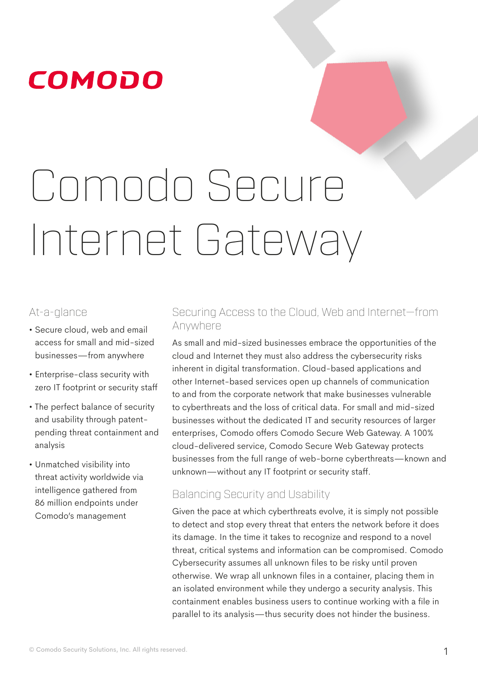# Comodo Secure Internet Gateway

## At-a-glance

- Secure cloud, web and email access for small and mid-sized businesses—from anywhere
- Enterprise-class security with zero IT footprint or security staff
- The perfect balance of security and usability through patentpending threat containment and analysis
- Unmatched visibility into threat activity worldwide via intelligence gathered from 86 million endpoints under Comodo's management

## Securing Access to the Cloud, Web and Internet—from Anywhere

As small and mid-sized businesses embrace the opportunities of the cloud and Internet they must also address the cybersecurity risks inherent in digital transformation. Cloud-based applications and other Internet-based services open up channels of communication to and from the corporate network that make businesses vulnerable to cyberthreats and the loss of critical data. For small and mid-sized businesses without the dedicated IT and security resources of larger enterprises, Comodo offers Comodo Secure Web Gateway. A 100% cloud-delivered service, Comodo Secure Web Gateway protects businesses from the full range of web-borne cyberthreats—known and unknown—without any IT footprint or security staff.

## Balancing Security and Usability

Given the pace at which cyberthreats evolve, it is simply not possible to detect and stop every threat that enters the network before it does its damage. In the time it takes to recognize and respond to a novel threat, critical systems and information can be compromised. Comodo Cybersecurity assumes all unknown files to be risky until proven otherwise. We wrap all unknown files in a container, placing them in an isolated environment while they undergo a security analysis. This containment enables business users to continue working with a file in parallel to its analysis—thus security does not hinder the business.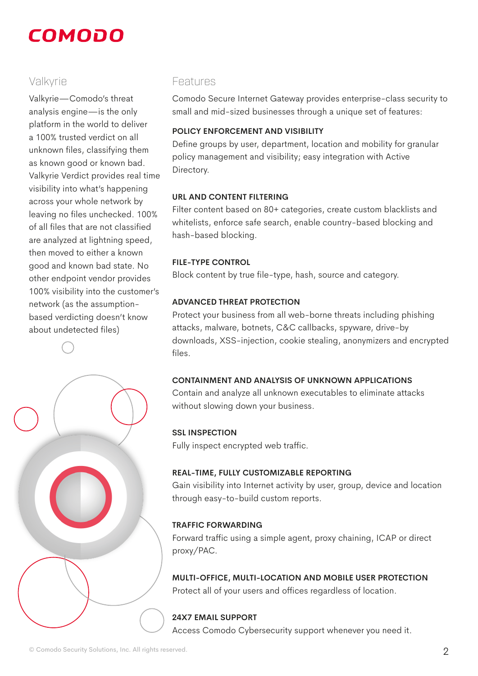## Valkyrie

Valkyrie—Comodo's threat analysis engine—is the only platform in the world to deliver a 100% trusted verdict on all unknown files, classifying them as known good or known bad. Valkyrie Verdict provides real time visibility into what's happening across your whole network by leaving no files unchecked. 100% of all files that are not classified are analyzed at lightning speed, then moved to either a known good and known bad state. No other endpoint vendor provides 100% visibility into the customer's network (as the assumptionbased verdicting doesn't know about undetected files)



## Features

Comodo Secure Internet Gateway provides enterprise-class security to small and mid-sized businesses through a unique set of features:

## **POLICY ENFORCEMENT AND VISIBILITY**

Define groups by user, department, location and mobility for granular policy management and visibility; easy integration with Active Directory.

## **URL AND CONTENT FILTERING**

Filter content based on 80+ categories, create custom blacklists and whitelists, enforce safe search, enable country-based blocking and hash-based blocking.

## **FILE-TYPE CONTROL**

Block content by true file-type, hash, source and category.

## **ADVANCED THREAT PROTECTION**

Protect your business from all web-borne threats including phishing attacks, malware, botnets, C&C callbacks, spyware, drive-by downloads, XSS-injection, cookie stealing, anonymizers and encrypted files.

## **CONTAINMENT AND ANALYSIS OF UNKNOWN APPLICATIONS**

Contain and analyze all unknown executables to eliminate attacks without slowing down your business.

## **SSL INSPECTION**

Fully inspect encrypted web traffic.

## **REAL-TIME, FULLY CUSTOMIZABLE REPORTING**

Gain visibility into Internet activity by user, group, device and location through easy-to-build custom reports.

## **TRAFFIC FORWARDING**

Forward traffic using a simple agent, proxy chaining, ICAP or direct proxy/PAC.

**MULTI-OFFICE, MULTI-LOCATION AND MOBILE USER PROTECTION** Protect all of your users and offices regardless of location.

## **24X7 EMAIL SUPPORT**

Access Comodo Cybersecurity support whenever you need it.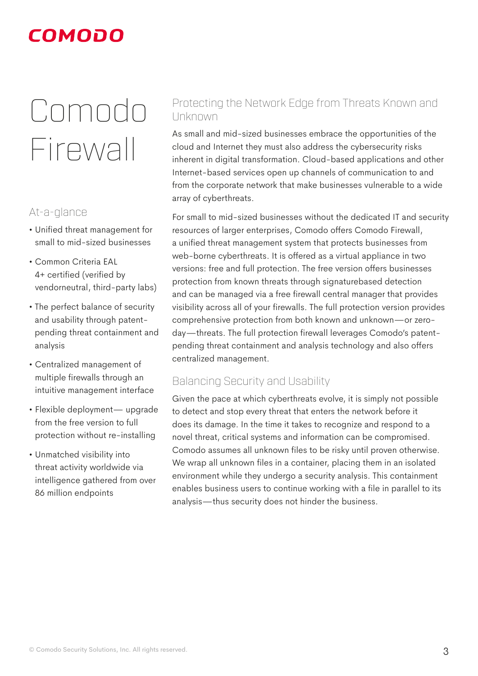## Comodo Firewall

## At-a-glance

- Unified threat management for small to mid-sized businesses
- Common Criteria EAL 4+ certified (verified by vendorneutral, third-party labs)
- The perfect balance of security and usability through patentpending threat containment and analysis
- Centralized management of multiple firewalls through an intuitive management interface
- Flexible deployment— upgrade from the free version to full protection without re-installing
- Unmatched visibility into threat activity worldwide via intelligence gathered from over 86 million endpoints

## Protecting the Network Edge from Threats Known and Unknown

As small and mid-sized businesses embrace the opportunities of the cloud and Internet they must also address the cybersecurity risks inherent in digital transformation. Cloud-based applications and other Internet-based services open up channels of communication to and from the corporate network that make businesses vulnerable to a wide array of cyberthreats.

For small to mid-sized businesses without the dedicated IT and security resources of larger enterprises, Comodo offers Comodo Firewall, a unified threat management system that protects businesses from web-borne cyberthreats. It is offered as a virtual appliance in two versions: free and full protection. The free version offers businesses protection from known threats through signaturebased detection and can be managed via a free firewall central manager that provides visibility across all of your firewalls. The full protection version provides comprehensive protection from both known and unknown—or zeroday—threats. The full protection firewall leverages Comodo's patentpending threat containment and analysis technology and also offers centralized management.

## Balancing Security and Usability

Given the pace at which cyberthreats evolve, it is simply not possible to detect and stop every threat that enters the network before it does its damage. In the time it takes to recognize and respond to a novel threat, critical systems and information can be compromised. Comodo assumes all unknown files to be risky until proven otherwise. We wrap all unknown files in a container, placing them in an isolated environment while they undergo a security analysis. This containment enables business users to continue working with a file in parallel to its analysis—thus security does not hinder the business.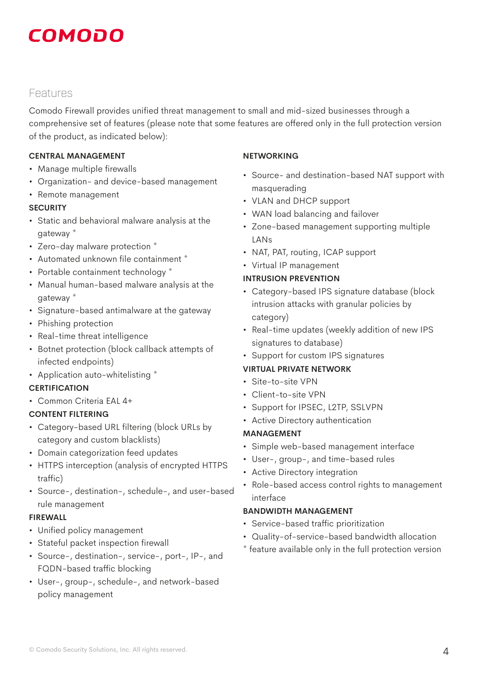## Features

Comodo Firewall provides unified threat management to small and mid-sized businesses through a comprehensive set of features (please note that some features are offered only in the full protection version of the product, as indicated below):

## **CENTRAL MANAGEMENT**

- Manage multiple firewalls
- Organization- and device-based management
- Remote management

## **SECURITY**

- Static and behavioral malware analysis at the gateway \*
- Zero-day malware protection \*
- Automated unknown file containment \*
- Portable containment technology \*
- Manual human-based malware analysis at the gateway \*
- Signature-based antimalware at the gateway
- Phishing protection
- Real-time threat intelligence
- Botnet protection (block callback attempts of infected endpoints)
- Application auto-whitelisting \*

## **CERTIFICATION**

• Common Criteria EAL 4+

## **CONTENT FILTERING**

- Category-based URL filtering (block URLs by category and custom blacklists)
- Domain categorization feed updates
- HTTPS interception (analysis of encrypted HTTPS traffic)
- Source-, destination-, schedule-, and user-based rule management

## **FIREWALL**

- Unified policy management
- Stateful packet inspection firewall
- Source-, destination-, service-, port-, IP-, and FQDN-based traffic blocking
- User-, group-, schedule-, and network-based policy management

## **NETWORKING**

- Source- and destination-based NAT support with masquerading
- VLAN and DHCP support
- WAN load balancing and failover
- Zone-based management supporting multiple LANs
- NAT, PAT, routing, ICAP support
- Virtual IP management

## **INTRUSION PREVENTION**

- Category-based IPS signature database (block intrusion attacks with granular policies by category)
- Real-time updates (weekly addition of new IPS signatures to database)
- Support for custom IPS signatures

## **VIRTUAL PRIVATE NETWORK**

- Site-to-site VPN
- Client-to-site VPN
- Support for IPSEC, L2TP, SSLVPN
- Active Directory authentication

## **MANAGEMENT**

- Simple web-based management interface
- User-, group-, and time-based rules
- Active Directory integration
- Role-based access control rights to management interface

## **BANDWIDTH MANAGEMENT**

- Service-based traffic prioritization
- Quality-of-service-based bandwidth allocation
- \* feature available only in the full protection version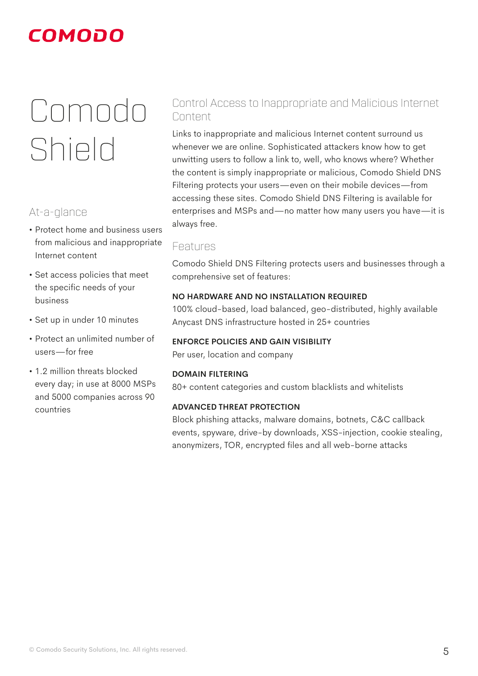## Comodo Shield

## At-a-glance

- Protect home and business users from malicious and inappropriate Internet content
- Set access policies that meet the specific needs of your business
- Set up in under 10 minutes
- Protect an unlimited number of users—for free
- 1.2 million threats blocked every day; in use at 8000 MSPs and 5000 companies across 90 countries

## Control Access to Inappropriate and Malicious Internet Content

Links to inappropriate and malicious Internet content surround us whenever we are online. Sophisticated attackers know how to get unwitting users to follow a link to, well, who knows where? Whether the content is simply inappropriate or malicious, Comodo Shield DNS Filtering protects your users—even on their mobile devices—from accessing these sites. Comodo Shield DNS Filtering is available for enterprises and MSPs and—no matter how many users you have—it is always free.

## Features

Comodo Shield DNS Filtering protects users and businesses through a comprehensive set of features:

## **NO HARDWARE AND NO INSTALLATION REQUIRED**

100% cloud-based, load balanced, geo-distributed, highly available Anycast DNS infrastructure hosted in 25+ countries

## **ENFORCE POLICIES AND GAIN VISIBILITY**

Per user, location and company

## **DOMAIN FILTERING**

80+ content categories and custom blacklists and whitelists

## **ADVANCED THREAT PROTECTION**

Block phishing attacks, malware domains, botnets, C&C callback events, spyware, drive-by downloads, XSS-injection, cookie stealing, anonymizers, TOR, encrypted files and all web-borne attacks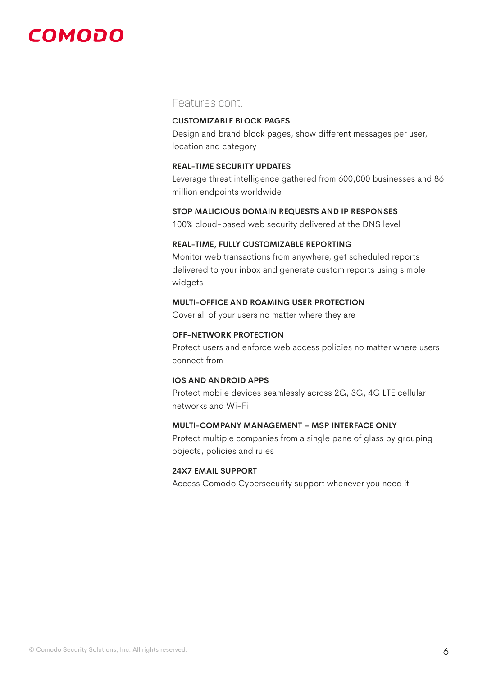## Features cont.

### **CUSTOMIZABLE BLOCK PAGES**

Design and brand block pages, show different messages per user, location and category

### **REAL-TIME SECURITY UPDATES**

Leverage threat intelligence gathered from 600,000 businesses and 86 million endpoints worldwide

#### **STOP MALICIOUS DOMAIN REQUESTS AND IP RESPONSES**

100% cloud-based web security delivered at the DNS level

#### **REAL-TIME, FULLY CUSTOMIZABLE REPORTING**

Monitor web transactions from anywhere, get scheduled reports delivered to your inbox and generate custom reports using simple widgets

## **MULTI-OFFICE AND ROAMING USER PROTECTION**

Cover all of your users no matter where they are

### **OFF-NETWORK PROTECTION**

Protect users and enforce web access policies no matter where users connect from

#### **IOS AND ANDROID APPS**

Protect mobile devices seamlessly across 2G, 3G, 4G LTE cellular networks and Wi-Fi

#### **MULTI-COMPANY MANAGEMENT – MSP INTERFACE ONLY**

Protect multiple companies from a single pane of glass by grouping objects, policies and rules

## **24X7 EMAIL SUPPORT**

Access Comodo Cybersecurity support whenever you need it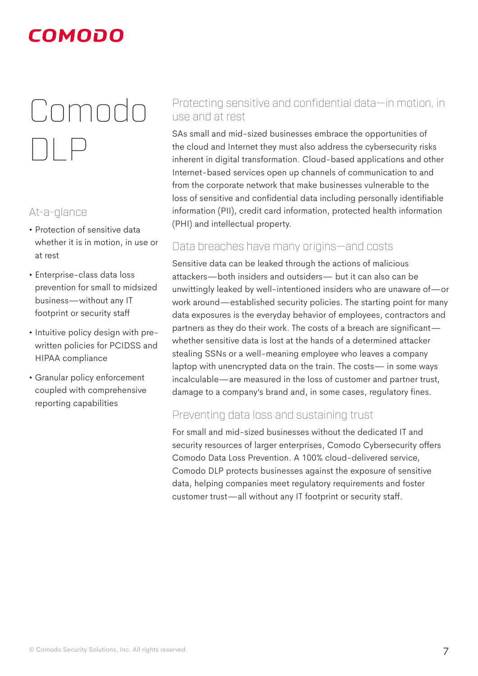## Comodo DLP

## At-a-glance

- Protection of sensitive data whether it is in motion, in use or at rest
- Enterprise-class data loss prevention for small to midsized business—without any IT footprint or security staff
- Intuitive policy design with prewritten policies for PCIDSS and HIPAA compliance
- Granular policy enforcement coupled with comprehensive reporting capabilities

## Protecting sensitive and confidential data—in motion, in use and at rest

SAs small and mid-sized businesses embrace the opportunities of the cloud and Internet they must also address the cybersecurity risks inherent in digital transformation. Cloud-based applications and other Internet-based services open up channels of communication to and from the corporate network that make businesses vulnerable to the loss of sensitive and confidential data including personally identifiable information (PII), credit card information, protected health information (PHI) and intellectual property.

## Data breaches have many origins—and costs

Sensitive data can be leaked through the actions of malicious attackers—both insiders and outsiders— but it can also can be unwittingly leaked by well-intentioned insiders who are unaware of—or work around—established security policies. The starting point for many data exposures is the everyday behavior of employees, contractors and partners as they do their work. The costs of a breach are significant whether sensitive data is lost at the hands of a determined attacker stealing SSNs or a well-meaning employee who leaves a company laptop with unencrypted data on the train. The costs— in some ways incalculable—are measured in the loss of customer and partner trust, damage to a company's brand and, in some cases, regulatory fines.

## Preventing data loss and sustaining trust

For small and mid-sized businesses without the dedicated IT and security resources of larger enterprises, Comodo Cybersecurity offers Comodo Data Loss Prevention. A 100% cloud-delivered service, Comodo DLP protects businesses against the exposure of sensitive data, helping companies meet regulatory requirements and foster customer trust—all without any IT footprint or security staff.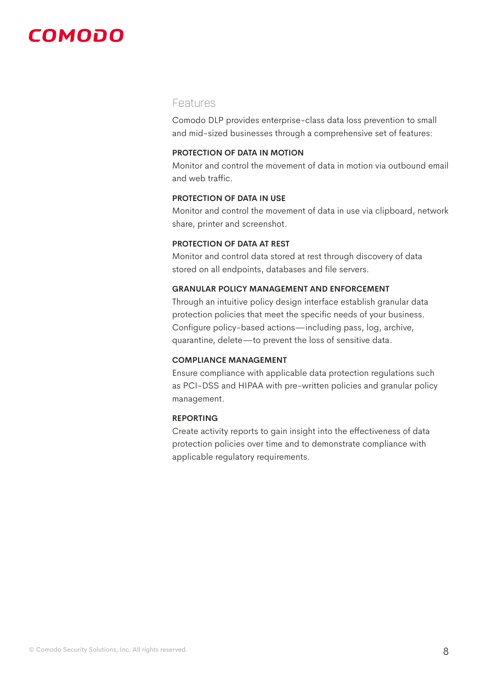## Features

Comodo DLP provides enterprise-class data loss prevention to small and mid-sized businesses through a comprehensive set of features:

#### **PROTECTION OF DATA IN MOTION**

Monitor and control the movement of data in motion via outbound email and web traffic.

## **PROTECTION OF DATA IN USE**

Monitor and control the movement of data in use via clipboard, network share, printer and screenshot.

## **PROTECTION OF DATA AT REST**

Monitor and control data stored at rest through discovery of data stored on all endpoints, databases and file servers.

## **GRANULAR POLICY MANAGEMENT AND ENFORCEMENT**

Through an intuitive policy design interface establish granular data protection policies that meet the specific needs of your business. Configure policy-based actions—including pass, log, archive, quarantine, delete—to prevent the loss of sensitive data.

#### **COMPLIANCE MANAGEMENT**

Ensure compliance with applicable data protection regulations such as PCI-DSS and HIPAA with pre-written policies and granular policy management.

#### **REPORTING**

Create activity reports to gain insight into the effectiveness of data protection policies over time and to demonstrate compliance with applicable regulatory requirements.